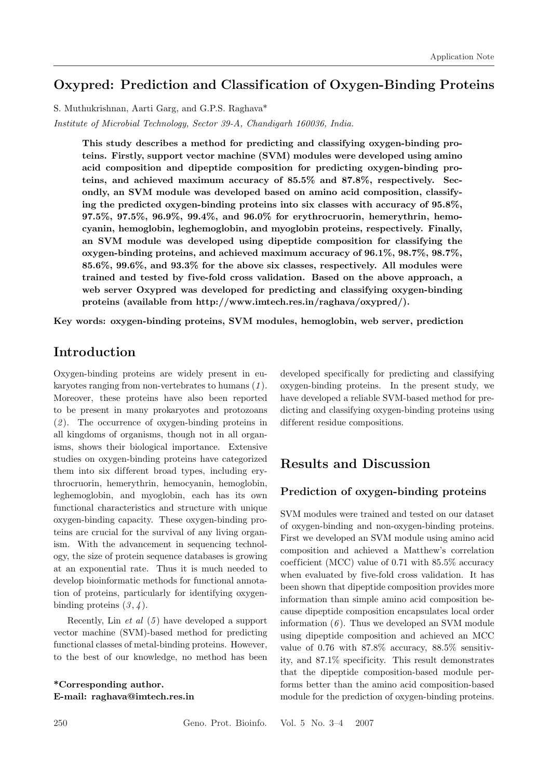# **Oxypred: Prediction and Classif ication of Oxygen-Binding Proteins**

S. Muthukrishnan, Aarti Garg, and G.P.S. Raghava\*

*Institute of Microbial Technology, Sector 39-A, Chandigarh 160036, India.*

**This study describes a method for predicting and classifying oxygen-binding proteins. Firstly, support vector machine (SVM) modules were developed using amino acid composition and dipeptide composition for predicting oxygen-binding proteins, and achieved maximum accuracy of 85.5% and 87.8%, respectively. Secondly, an SVM module was developed based on amino acid composition, classifying the predicted oxygen-binding proteins into six classes with accuracy of 95.8%, 97.5%, 97.5%, 96.9%, 99.4%, and 96.0% for erythrocruorin, hemerythrin, hemocyanin, hemoglobin, leghemoglobin, and myoglobin proteins, respectively. Finally, an SVM module was developed using dipeptide composition for classifying the oxygen-binding proteins, and achieved maximum accuracy of 96.1%, 98.7%, 98.7%, 85.6%, 99.6%, and 93.3% for the above six classes, respectively. All modules were** trained and tested by five-fold cross validation. Based on the above approach, a **web server Oxypred was developed for predicting and classifying oxygen-binding proteins (available from http://www.imtech.res.in/raghava/oxypred/).**

**Key words: oxygen-binding proteins, SVM modules, hemoglobin, web server, prediction**

# **Introduction**

Oxygen-binding proteins are widely present in eukaryotes ranging from non-vertebrates to humans (*1* ). Moreover, these proteins have also been reported to be present in many prokaryotes and protozoans (*2* ). The occurrence of oxygen-binding proteins in all kingdoms of organisms, though not in all organisms, shows their biological importance. Extensive studies on oxygen-binding proteins have categorized them into six different broad types, including erythrocruorin, hemerythrin, hemocyanin, hemoglobin, leghemoglobin, and myoglobin, each has its own functional characteristics and structure with unique oxygen-binding capacity. These oxygen-binding proteins are crucial for the survival of any living organism. With the advancement in sequencing technology, the size of protein sequence databases is growing at an exponential rate. Thus it is much needed to develop bioinformatic methods for functional annotation of proteins, particularly for identifying oxygenbinding proteins  $(3, 4)$ .

Recently, Lin *et al* (*5* ) have developed a support vector machine (SVM)-based method for predicting functional classes of metal-binding proteins. However, to the best of our knowledge, no method has been

**\*Corresponding author. E-mail: raghava@imtech.res.in** developed specifically for predicting and classifying oxygen-binding proteins. In the present study, we have developed a reliable SVM-based method for predicting and classifying oxygen-binding proteins using different residue compositions.

# **Results and Discussion**

#### **Prediction of oxygen-binding proteins**

SVM modules were trained and tested on our dataset of oxygen-binding and non-oxygen-binding proteins. First we developed an SVM module using amino acid composition and achieved a Matthew's correlation coefficient (MCC) value of  $0.71$  with  $85.5\%$  accuracy when evaluated by five-fold cross validation. It has been shown that dipeptide composition provides more information than simple amino acid composition because dipeptide composition encapsulates local order information (*6* ). Thus we developed an SVM module using dipeptide composition and achieved an MCC value of 0.76 with 87.8% accuracy, 88.5% sensitivity, and 87.1% specificity. This result demonstrates that the dipeptide composition-based module performs better than the amino acid composition-based module for the prediction of oxygen-binding proteins.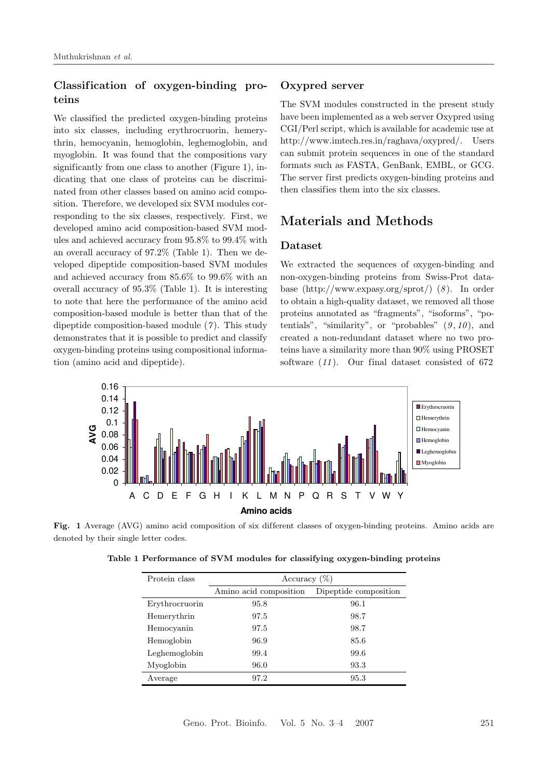# **Classif ication of oxygen-binding proteins**

We classified the predicted oxygen-binding proteins into six classes, including erythrocruorin, hemerythrin, hemocyanin, hemoglobin, leghemoglobin, and myoglobin. It was found that the compositions vary significantly from one class to another (Figure 1), indicating that one class of proteins can be discriminated from other classes based on amino acid composition. Therefore, we developed six SVM modules corresponding to the six classes, respectively. First, we developed amino acid composition-based SVM modules and achieved accuracy from 95.8% to 99.4% with an overall accuracy of 97.2% (Table 1). Then we developed dipeptide composition-based SVM modules and achieved accuracy from 85.6% to 99.6% with an overall accuracy of 95.3% (Table 1). It is interesting to note that here the performance of the amino acid composition-based module is better than that of the dipeptide composition-based module (*7* ). This study demonstrates that it is possible to predict and classify oxygen-binding proteins using compositional information (amino acid and dipeptide).

#### **Oxypred server**

The SVM modules constructed in the present study have been implemented as a web server Oxypred using CGI/Perl script, which is available for academic use at http://www.imtech.res.in/raghava/oxypred/. Users can submit protein sequences in one of the standard formats such as FASTA, GenBank, EMBL, or GCG. The server first predicts oxygen-binding proteins and then classifies them into the six classes.

# **Materials and Methods**

#### **Dataset**

We extracted the sequences of oxygen-binding and non-oxygen-binding proteins from Swiss-Prot database (http://www.expasy.org/sprot/) (*8* ). In order to obtain a high-quality dataset, we removed all those proteins annotated as "fragments", "isoforms", "potentials", "similarity", or "probables" (*9* , *10* ), and created a non-redundant dataset where no two proteins have a similarity more than 90% using PROSET software (*11* ). Our final dataset consisted of 672



Fig. 1 Average (AVG) amino acid composition of six different classes of oxygen-binding proteins. Amino acids are denoted by their single letter codes.

| Protein class  | Accuracy $(\%)$        |                       |
|----------------|------------------------|-----------------------|
|                | Amino acid composition | Dipeptide composition |
| Erythrocruorin | 95.8                   | 96.1                  |
| Hemerythrin    | 97.5                   | 98.7                  |
| Hemocyanin     | 97.5                   | 98.7                  |
| Hemoglobin     | 96.9                   | 85.6                  |
| Leghemoglobin  | 99.4                   | 99.6                  |
| Myoglobin      | 96.0                   | 93.3                  |
| Average        | 97.2                   | 95.3                  |

**Table 1 Performance of SVM modules for classifying oxygen-binding proteins**